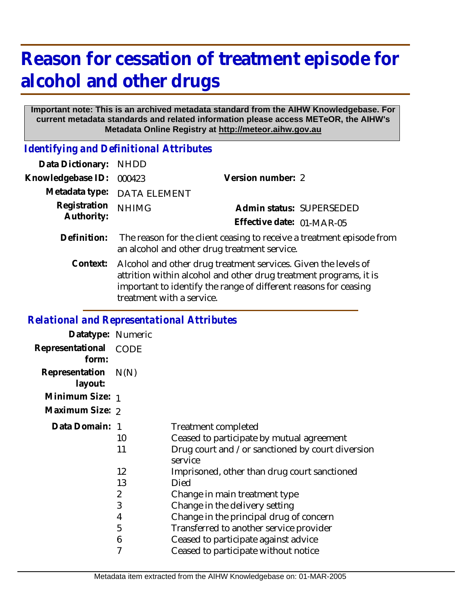# **Reason for cessation of treatment episode for alcohol and other drugs**

#### **Important note: This is an archived metadata standard from the AIHW Knowledgebase. For current metadata standards and related information please access METeOR, the AIHW's Metadata Online Registry at http://meteor.aihw.gov.au**

*Identifying and Definitional Attributes*

| Data Dictionary:           | <b>NHDD</b>                                                                                                                                                                                                                          |                           |                          |
|----------------------------|--------------------------------------------------------------------------------------------------------------------------------------------------------------------------------------------------------------------------------------|---------------------------|--------------------------|
| Knowledgebase ID:          | 000423                                                                                                                                                                                                                               | Version number: 2         |                          |
| Metadata type:             | <b>DATA ELEMENT</b>                                                                                                                                                                                                                  |                           |                          |
| Registration<br>Authority: | <b>NHIMG</b>                                                                                                                                                                                                                         |                           | Admin status: SUPERSEDED |
|                            |                                                                                                                                                                                                                                      | Effective date: 01-MAR-05 |                          |
| Definition:                | The reason for the client ceasing to receive a treatment episode from<br>an alcohol and other drug treatment service.                                                                                                                |                           |                          |
| Context:                   | Alcohol and other drug treatment services. Given the levels of<br>attrition within alcohol and other drug treatment programs, it is<br>important to identify the range of different reasons for ceasing<br>treatment with a service. |                           |                          |

### *Relational and Representational Attributes*

| N(N)            |                                                             |
|-----------------|-------------------------------------------------------------|
| Minimum Size: 1 |                                                             |
| Maximum Size: 2 |                                                             |
| Data Domain: 1  | <b>Treatment completed</b>                                  |
| 10              | Ceased to participate by mutual agreement                   |
| 11              | Drug court and /or sanctioned by court diversion<br>service |
| 12              | Imprisoned, other than drug court sanctioned                |
| 13              | Died                                                        |
| 2               | Change in main treatment type                               |
| 3               | Change in the delivery setting                              |
| 4               | Change in the principal drug of concern                     |
| 5               | Transferred to another service provider                     |
| 6               | Ceased to participate against advice                        |
| 7               | Ceased to participate without notice                        |
|                 | Datatype: Numeric<br><b>CODE</b>                            |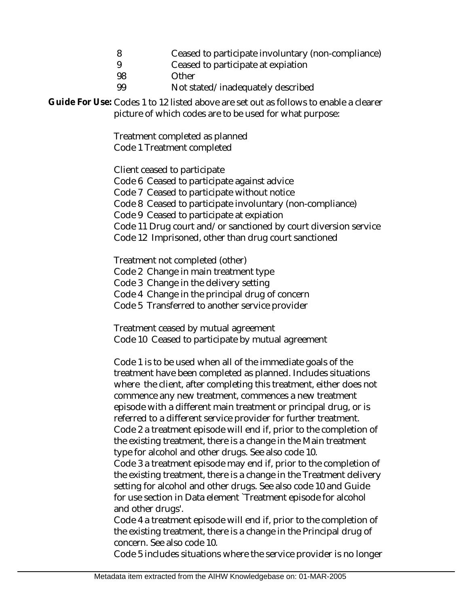- 8 Ceased to participate involuntary (non-compliance)
- 9 Ceased to participate at expiation
- 98 **Other**
- 99 Not stated/inadequately described

Guide For Use: Codes 1 to 12 listed above are set out as follows to enable a clearer picture of which codes are to be used for what purpose:

> Treatment completed as planned Code 1 Treatment completed

Client ceased to participate

- Code 6 Ceased to participate against advice
- Code 7 Ceased to participate without notice

Code 8 Ceased to participate involuntary (non-compliance)

Code 9 Ceased to participate at expiation

Code 11 Drug court and/or sanctioned by court diversion service

Code 12 Imprisoned, other than drug court sanctioned

Treatment not completed (other)

- Code 2 Change in main treatment type
- Code 3 Change in the delivery setting
- Code 4 Change in the principal drug of concern
- Code 5 Transferred to another service provider

Treatment ceased by mutual agreement

Code 10 Ceased to participate by mutual agreement

Code 1 is to be used when all of the immediate goals of the treatment have been completed as planned. Includes situations where the client, after completing this treatment, either does not commence any new treatment, commences a new treatment episode with a different main treatment or principal drug, or is referred to a different service provider for further treatment. Code 2 a treatment episode will end if, prior to the completion of the existing treatment, there is a change in the Main treatment type for alcohol and other drugs. See also code 10.

Code 3 a treatment episode may end if, prior to the completion of the existing treatment, there is a change in the Treatment delivery setting for alcohol and other drugs. See also code 10 and Guide for use section in Data element `Treatment episode for alcohol and other drugs'.

Code 4 a treatment episode will end if, prior to the completion of the existing treatment, there is a change in the Principal drug of concern. See also code 10.

Code 5 includes situations where the service provider is no longer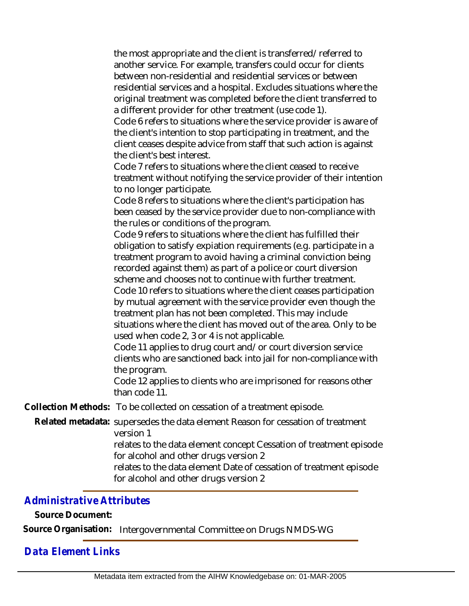the most appropriate and the client is transferred/referred to another service. For example, transfers could occur for clients between non-residential and residential services or between residential services and a hospital. Excludes situations where the original treatment was completed before the client transferred to a different provider for other treatment (use code 1).

Code 6 refers to situations where the service provider is aware of the client's intention to stop participating in treatment, and the client ceases despite advice from staff that such action is against the client's best interest.

Code 7 refers to situations where the client ceased to receive treatment without notifying the service provider of their intention to no longer participate.

Code 8 refers to situations where the client's participation has been ceased by the service provider due to non-compliance with the rules or conditions of the program.

Code 9 refers to situations where the client has fulfilled their obligation to satisfy expiation requirements (e.g. participate in a treatment program to avoid having a criminal conviction being recorded against them) as part of a police or court diversion scheme and chooses not to continue with further treatment.

Code 10 refers to situations where the client ceases participation by mutual agreement with the service provider even though the treatment plan has not been completed. This may include situations where the client has moved out of the area. Only to be used when code 2, 3 or 4 is not applicable.

Code 11 applies to drug court and/or court diversion service clients who are sanctioned back into jail for non-compliance with the program.

Code 12 applies to clients who are imprisoned for reasons other than code 11.

**Collection Methods:** To be collected on cessation of a treatment episode.

Related metadata: supersedes the data element Reason for cessation of treatment version 1

> relates to the data element concept Cessation of treatment episode for alcohol and other drugs version 2

relates to the data element Date of cessation of treatment episode for alcohol and other drugs version 2

## *Administrative Attributes*

**Source Document:**

**Source Organisation:** Intergovernmental Committee on Drugs NMDS-WG

## *Data Element Links*